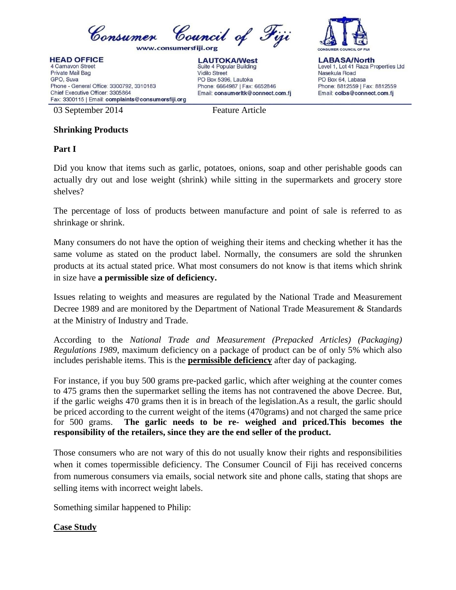

**HEAD OFFICE** 4 Carnavon Street Private Mail Bag GPO, Suva Phone - General Office: 3300792, 3310183 Chief Executive Officer: 3305864 Fax: 3300115 | Email: complaints@consumersfiji.org





**LABASA/North** Level 1, Lot 41 Raza Properties Ltd Nasekula Road PO Box 64, Labasa Phone: 8812559 | Fax: 8812559 Email: colbs@connect.com.fj

03 September 2014 Feature Article

## **Shrinking Products**

## **Part I**

Did you know that items such as garlic, potatoes, onions, soap and other perishable goods can actually dry out and lose weight (shrink) while sitting in the supermarkets and grocery store shelves?

The percentage of loss of products between manufacture and point of sale is referred to as shrinkage or shrink.

Many consumers do not have the option of weighing their items and checking whether it has the same volume as stated on the product label. Normally, the consumers are sold the shrunken products at its actual stated price. What most consumers do not know is that items which shrink in size have **a permissible size of deficiency.**

Issues relating to weights and measures are regulated by the National Trade and Measurement Decree 1989 and are monitored by the Department of National Trade Measurement & Standards at the Ministry of Industry and Trade.

According to the *National Trade and Measurement (Prepacked Articles) (Packaging) Regulations 1989*, maximum deficiency on a package of product can be of only 5% which also includes perishable items. This is the **permissible deficiency** after day of packaging.

For instance, if you buy 500 grams pre-packed garlic, which after weighing at the counter comes to 475 grams then the supermarket selling the items has not contravened the above Decree. But, if the garlic weighs 470 grams then it is in breach of the legislation.As a result, the garlic should be priced according to the current weight of the items (470grams) and not charged the same price for 500 grams. **The garlic needs to be re- weighed and priced.This becomes the responsibility of the retailers, since they are the end seller of the product.**

Those consumers who are not wary of this do not usually know their rights and responsibilities when it comes topermissible deficiency. The Consumer Council of Fiji has received concerns from numerous consumers via emails, social network site and phone calls, stating that shops are selling items with incorrect weight labels.

Something similar happened to Philip:

## **Case Study**